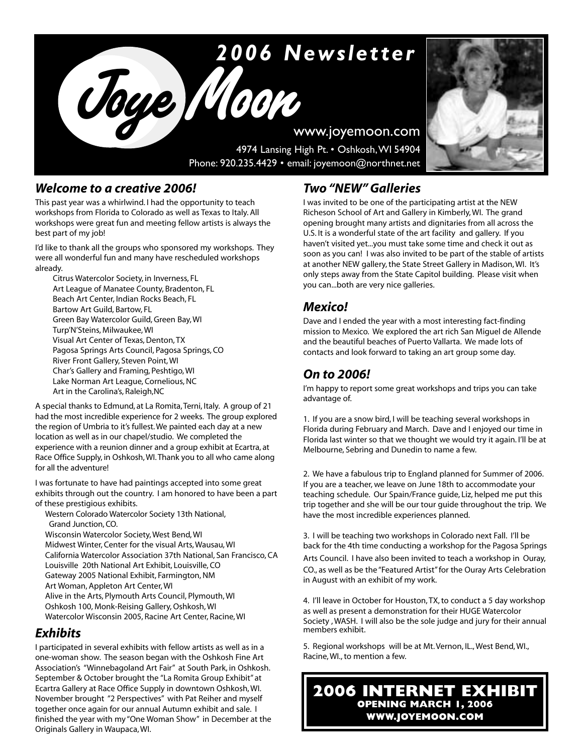# 2006 Newsletter

**Joye Moon** www.joyemoon.com 4974 Lansing High Pt. • Oshkosh,WI 54904 Phone: 920.235.4429 • email: joyemoon@northnet.net

### *Welcome to a creative 2006!*

This past year was a whirlwind. I had the opportunity to teach workshops from Florida to Colorado as well as Texas to Italy. All workshops were great fun and meeting fellow artists is always the best part of my job!

I'd like to thank all the groups who sponsored my workshops. They were all wonderful fun and many have rescheduled workshops already.

Citrus Watercolor Society, in Inverness, FL Art League of Manatee County, Bradenton, FL Beach Art Center, Indian Rocks Beach, FL Bartow Art Guild, Bartow, FL Green Bay Watercolor Guild, Green Bay, WI Turp'N'Steins, Milwaukee, WI Visual Art Center of Texas, Denton, TX Pagosa Springs Arts Council, Pagosa Springs, CO River Front Gallery, Steven Point, WI Char's Gallery and Framing, Peshtigo, WI Lake Norman Art League, Cornelious, NC Art in the Carolina's, Raleigh,NC

A special thanks to Edmund, at La Romita, Terni, Italy. A group of 21 had the most incredible experience for 2 weeks. The group explored the region of Umbria to it's fullest. We painted each day at a new location as well as in our chapel/studio. We completed the experience with a reunion dinner and a group exhibit at Ecartra, at Race Office Supply, in Oshkosh, WI. Thank you to all who came along for all the adventure!

I was fortunate to have had paintings accepted into some great exhibits through out the country. I am honored to have been a part of these prestigious exhibits.

Western Colorado Watercolor Society 13th National, Grand Junction, CO. Wisconsin Watercolor Society, West Bend, WI Midwest Winter, Center for the visual Arts, Wausau, WI California Watercolor Association 37th National, San Francisco, CA Louisville 20th National Art Exhibit, Louisville, CO Gateway 2005 National Exhibit, Farmington, NM Art Woman, Appleton Art Center, WI Alive in the Arts, Plymouth Arts Council, Plymouth, WI Oshkosh 100, Monk-Reising Gallery, Oshkosh, WI Watercolor Wisconsin 2005, Racine Art Center, Racine, WI

# *Exhibits*

I participated in several exhibits with fellow artists as well as in a one-woman show. The season began with the Oshkosh Fine Art Association's "Winnebagoland Art Fair" at South Park, in Oshkosh. September & October brought the "La Romita Group Exhibit" at Ecartra Gallery at Race Office Supply in downtown Oshkosh, WI. November brought "2 Perspectives" with Pat Reiher and myself together once again for our annual Autumn exhibit and sale. I finished the year with my "One Woman Show" in December at the Originals Gallery in Waupaca, WI.

# *Two "NEW" Galleries*

I was invited to be one of the participating artist at the NEW Richeson School of Art and Gallery in Kimberly, WI. The grand opening brought many artists and dignitaries from all across the U.S. It is a wonderful state of the art facility and gallery. If you haven't visited yet...you must take some time and check it out as soon as you can! I was also invited to be part of the stable of artists at another NEW gallery, the State Street Gallery in Madison, WI. It's only steps away from the State Capitol building. Please visit when you can...both are very nice galleries.

# *Mexico!*

Dave and I ended the year with a most interesting fact-finding mission to Mexico. We explored the art rich San Miguel de Allende and the beautiful beaches of Puerto Vallarta. We made lots of contacts and look forward to taking an art group some day.

# *On to 2006!*

I'm happy to report some great workshops and trips you can take advantage of.

1. If you are a snow bird, I will be teaching several workshops in Florida during February and March. Dave and I enjoyed our time in Florida last winter so that we thought we would try it again. I'll be at Melbourne, Sebring and Dunedin to name a few.

2. We have a fabulous trip to England planned for Summer of 2006. If you are a teacher, we leave on June 18th to accommodate your teaching schedule. Our Spain/France guide, Liz, helped me put this trip together and she will be our tour guide throughout the trip. We have the most incredible experiences planned.

3. I will be teaching two workshops in Colorado next Fall. I'll be back for the 4th time conducting a workshop for the Pagosa Springs Arts Council. I have also been invited to teach a workshop in Ouray, CO., as well as be the "Featured Artist" for the Ouray Arts Celebration in August with an exhibit of my work.

4. I'll leave in October for Houston, TX, to conduct a 5 day workshop as well as present a demonstration for their HUGE Watercolor Society , WASH. I will also be the sole judge and jury for their annual members exhibit.

5. Regional workshops will be at Mt. Vernon, IL., West Bend, WI., Racine, WI., to mention a few.

**2006 INTERNET EXHIBIT OPENING MARCH 1, 2006 WWW.JOYEMOON.COM**

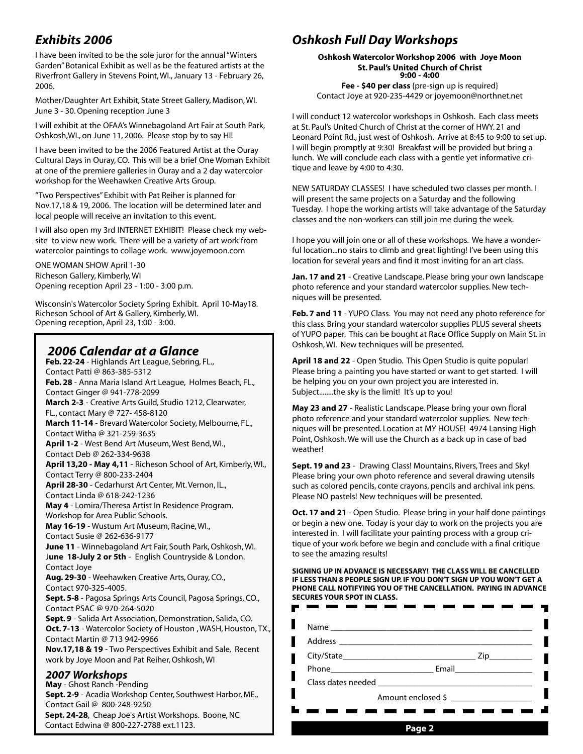# *Exhibits 2006*

I have been invited to be the sole juror for the annual "Winters Garden" Botanical Exhibit as well as be the featured artists at the Riverfront Gallery in Stevens Point, WI., January 13 - February 26, 2006.

Mother/Daughter Art Exhibit, State Street Gallery, Madison, WI. June 3 - 30. Opening reception June 3

I will exhibit at the OFAA's Winnebagoland Art Fair at South Park, Oshkosh,WI., on June 11, 2006. Please stop by to say HI!

I have been invited to be the 2006 Featured Artist at the Ouray Cultural Days in Ouray, CO. This will be a brief One Woman Exhibit at one of the premiere galleries in Ouray and a 2 day watercolor workshop for the Weehawken Creative Arts Group.

"Two Perspectives" Exhibit with Pat Reiher is planned for Nov.17,18 & 19, 2006. The location will be determined later and local people will receive an invitation to this event.

I will also open my 3rd INTERNET EXHIBIT! Please check my website to view new work. There will be a variety of art work from watercolor paintings to collage work. www.joyemoon.com

ONE WOMAN SHOW April 1-30 Richeson Gallery, Kimberly, WI Opening reception April 23 - 1:00 - 3:00 p.m.

Wisconsin's Watercolor Society Spring Exhibit. April 10-May18. Richeson School of Art & Gallery, Kimberly, WI. Opening reception, April 23, 1:00 - 3:00.

### *2006 Calendar at a Glance*

**Feb. 22-24** - Highlands Art League, Sebring, FL., Contact Patti @ 863-385-5312 **Feb. 28** - Anna Maria Island Art League, Holmes Beach, FL., Contact Ginger @ 941-778-2099 **March 2-3** - Creative Arts Guild, Studio 1212, Clearwater, FL., contact Mary @ 727- 458-8120 **March 11-14** - Brevard Watercolor Society, Melbourne, FL., Contact Witha @ 321-259-3635 **April 1-2** - West Bend Art Museum, West Bend, WI., Contact Deb @ 262-334-9638 **April 13,20 - May 4,11** - Richeson School of Art, Kimberly, WI., Contact Terry @ 800-233-2404 **April 28-30** - Cedarhurst Art Center, Mt. Vernon, IL., Contact Linda @ 618-242-1236 **May 4** - Lomira/Theresa Artist In Residence Program. Workshop for Area Public Schools. **May 16-19** - Wustum Art Museum, Racine, WI., Contact Susie @ 262-636-9177 **June 11** - Winnebagoland Art Fair, South Park, Oshkosh, WI. J**une 18-July 2 or 5th** - English Countryside & London. Contact Joye **Aug. 29-30** - Weehawken Creative Arts, Ouray, CO., Contact 970-325-4005. **Sept. 5-8** - Pagosa Springs Arts Council, Pagosa Springs, CO., Contact PSAC @ 970-264-5020 **Sept. 9** - Salida Art Association, Demonstration, Salida, CO. **Oct. 7-13** - Watercolor Society of Houston , WASH, Houston, TX., Contact Martin @ 713 942-9966 **Nov.17,18 & 19** - Two Perspectives Exhibit and Sale, Recent work by Joye Moon and Pat Reiher, Oshkosh, WI *2007 Workshops* **May** - Ghost Ranch -Pending **Sept. 2-9** - Acadia Workshop Center, Southwest Harbor, ME., Contact Gail @ 800-248-9250

**Sept. 24-28**, Cheap Joe's Artist Workshops. Boone, NC Contact Edwina @ 800-227-2788 ext.1123. **Page 2**

# *Oshkosh Full Day Workshops*

**Oshkosh Watercolor Workshop 2006 with Joye Moon St. Paul's United Church of Christ 9:00 - 4:00**

**Fee - \$40 per class** {pre-sign up is required} Contact Joye at 920-235-4429 or joyemoon@northnet.net

I will conduct 12 watercolor workshops in Oshkosh. Each class meets at St. Paul's United Church of Christ at the corner of HWY. 21 and Leonard Point Rd., just west of Oshkosh. Arrive at 8:45 to 9:00 to set up. I will begin promptly at 9:30! Breakfast will be provided but bring a lunch. We will conclude each class with a gentle yet informative critique and leave by 4:00 to 4:30.

NEW SATURDAY CLASSES! I have scheduled two classes per month. I will present the same projects on a Saturday and the following Tuesday. I hope the working artists will take advantage of the Saturday classes and the non-workers can still join me during the week.

I hope you will join one or all of these workshops. We have a wonderful location...no stairs to climb and great lighting! I've been using this location for several years and find it most inviting for an art class.

**Jan. 17 and 21** - Creative Landscape. Please bring your own landscape photo reference and your standard watercolor supplies. New techniques will be presented.

**Feb. 7 and 11** - YUPO Class. You may not need any photo reference for this class. Bring your standard watercolor supplies PLUS several sheets of YUPO paper. This can be bought at Race Office Supply on Main St. in Oshkosh, WI. New techniques will be presented.

**April 18 and 22** - Open Studio. This Open Studio is quite popular! Please bring a painting you have started or want to get started. I will be helping you on your own project you are interested in. Subject........the sky is the limit! It's up to you!

**May 23 and 27** - Realistic Landscape. Please bring your own floral photo reference and your standard watercolor supplies. New techniques will be presented. Location at MY HOUSE! 4974 Lansing High Point, Oshkosh. We will use the Church as a back up in case of bad weather!

**Sept. 19 and 23** - Drawing Class! Mountains, Rivers, Trees and Sky! Please bring your own photo reference and several drawing utensils such as colored pencils, conte crayons, pencils and archival ink pens. Please NO pastels! New techniques will be presented.

**Oct. 17 and 21** - Open Studio. Please bring in your half done paintings or begin a new one. Today is your day to work on the projects you are interested in. I will facilitate your painting process with a group critique of your work before we begin and conclude with a final critique to see the amazing results!

**SIGNING UP IN ADVANCE IS NECESSARY! THE CLASS WILL BE CANCELLED IF LESS THAN 8 PEOPLE SIGN UP. IF YOU DON'T SIGN UP YOU WON'T GET A PHONE CALL NOTIFYING YOU OF THE CANCELLATION. PAYING IN ADVANCE SECURES YOUR SPOT IN CLASS.**

| Zip                |
|--------------------|
|                    |
|                    |
| Amount enclosed \$ |
|                    |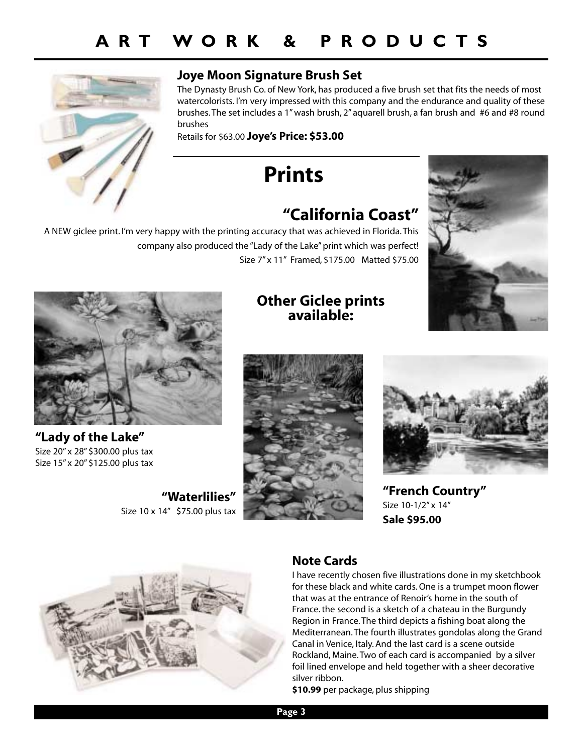

## **Joye Moon Signature Brush Set**

The Dynasty Brush Co. of New York, has produced a five brush set that fits the needs of most watercolorists. I'm very impressed with this company and the endurance and quality of these brushes. The set includes a 1" wash brush, 2" aquarell brush, a fan brush and #6 and #8 round brushes

Retails for \$63.00 **Joye's Price: \$53.00**

**Prints**

# **"California Coast"**

A NEW giclee print. I'm very happy with the printing accuracy that was achieved in Florida. This company also produced the "Lady of the Lake" print which was perfect! Size 7" x 11" Framed, \$175.00 Matted \$75.00



**"Lady of the Lake"** Size 20" x 28" \$300.00 plus tax Size 15" x 20" \$125.00 plus tax

**"Waterlilies"** Size 10 x 14" \$75.00 plus tax

## **Other Giclee prints available:**







**"French Country"** Size 10-1/2" x 14" **Sale \$95.00**



# **Note Cards**

I have recently chosen five illustrations done in my sketchbook for these black and white cards. One is a trumpet moon flower that was at the entrance of Renoir's home in the south of France. the second is a sketch of a chateau in the Burgundy Region in France. The third depicts a fishing boat along the Mediterranean. The fourth illustrates gondolas along the Grand Canal in Venice, Italy. And the last card is a scene outside Rockland, Maine. Two of each card is accompanied by a silver foil lined envelope and held together with a sheer decorative silver ribbon.

**\$10.99** per package, plus shipping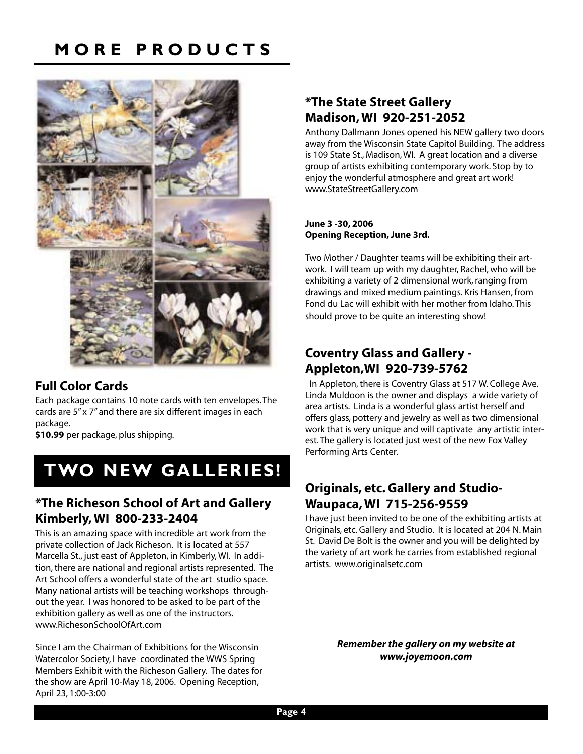# **MORE PRODUCTS**



### **Full Color Cards**

Each package contains 10 note cards with ten envelopes. The cards are 5" x 7" and there are six different images in each package.

**\$10.99** per package, plus shipping.

# **TWO NEW GALLERIES!**

### **\*The Richeson School of Art and Gallery Kimberly, WI 800-233-2404**

This is an amazing space with incredible art work from the private collection of Jack Richeson. It is located at 557 Marcella St., just east of Appleton, in Kimberly, WI. In addition, there are national and regional artists represented. The Art School offers a wonderful state of the art studio space. Many national artists will be teaching workshops throughout the year. I was honored to be asked to be part of the exhibition gallery as well as one of the instructors. www.RichesonSchoolOfArt.com

Since I am the Chairman of Exhibitions for the Wisconsin Watercolor Society, I have coordinated the WWS Spring Members Exhibit with the Richeson Gallery. The dates for the show are April 10-May 18, 2006. Opening Reception, April 23, 1:00-3:00

## **\*The State Street Gallery Madison, WI 920-251-2052**

Anthony Dallmann Jones opened his NEW gallery two doors away from the Wisconsin State Capitol Building. The address is 109 State St., Madison, WI. A great location and a diverse group of artists exhibiting contemporary work. Stop by to enjoy the wonderful atmosphere and great art work! www.StateStreetGallery.com

### **June 3 -30, 2006 Opening Reception, June 3rd.**

Two Mother / Daughter teams will be exhibiting their artwork. I will team up with my daughter, Rachel, who will be exhibiting a variety of 2 dimensional work, ranging from drawings and mixed medium paintings. Kris Hansen, from Fond du Lac will exhibit with her mother from Idaho. This should prove to be quite an interesting show!

# **Coventry Glass and Gallery - Appleton,WI 920-739-5762**

In Appleton, there is Coventry Glass at 517 W. College Ave. Linda Muldoon is the owner and displays a wide variety of area artists. Linda is a wonderful glass artist herself and offers glass, pottery and jewelry as well as two dimensional work that is very unique and will captivate any artistic interest. The gallery is located just west of the new Fox Valley Performing Arts Center.

# **Originals, etc. Gallery and Studio-Waupaca, WI 715-256-9559**

I have just been invited to be one of the exhibiting artists at Originals, etc. Gallery and Studio. It is located at 204 N. Main St. David De Bolt is the owner and you will be delighted by the variety of art work he carries from established regional artists. www.originalsetc.com

> *Remember the gallery on my website at www.joyemoon.com*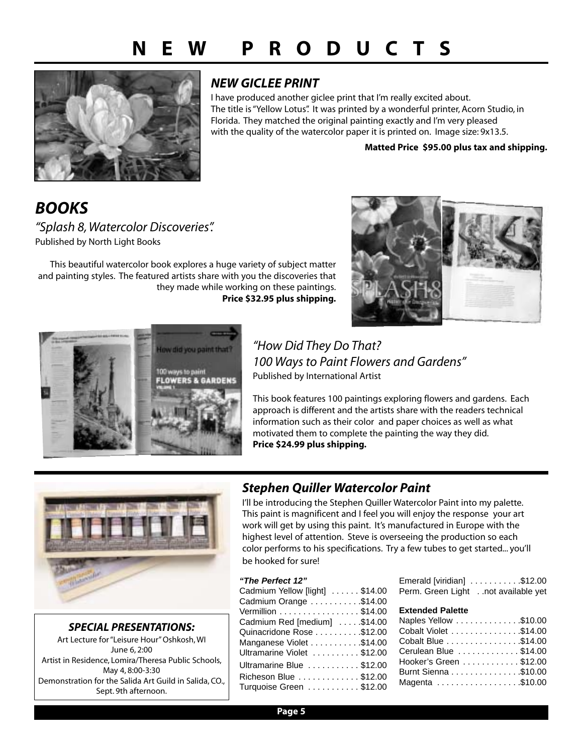

## *NEW GICLEE PRINT*

I have produced another giclee print that I'm really excited about. The title is "Yellow Lotus". It was printed by a wonderful printer, Acorn Studio, in Florida. They matched the original painting exactly and I'm very pleased with the quality of the watercolor paper it is printed on. Image size: 9x13.5.

**Matted Price \$95.00 plus tax and shipping.**

*BOOKS "Splash 8, Watercolor Discoveries".* Published by North Light Books

This beautiful watercolor book explores a huge variety of subject matter and painting styles. The featured artists share with you the discoveries that they made while working on these paintings. **Price \$32.95 plus shipping.**





*"How Did They Do That? 100 Ways to Paint Flowers and Gardens"* Published by International Artist

This book features 100 paintings exploring flowers and gardens. Each approach is different and the artists share with the readers technical information such as their color and paper choices as well as what motivated them to complete the painting the way they did. **Price \$24.99 plus shipping.**



*SPECIAL PRESENTATIONS:* Art Lecture for "Leisure Hour" Oshkosh, WI June 6, 2:00 Artist in Residence, Lomira/Theresa Public Schools, May 4, 8:00-3:30 Demonstration for the Salida Art Guild in Salida, CO.,

Sept. 9th afternoon.

### *Stephen Quiller Watercolor Paint*

I'll be introducing the Stephen Quiller Watercolor Paint into my palette. This paint is magnificent and I feel you will enjoy the response your art work will get by using this paint. It's manufactured in Europe with the highest level of attention. Steve is overseeing the production so each color performs to his specifications. Try a few tubes to get started... you'll be hooked for sure!

#### **"The Perfect 12"**

| Cadmium Yellow [light] \$14.00 |  |
|--------------------------------|--|
| Cadmium Orange \$14.00         |  |
| Vermillion \$14.00             |  |
| Cadmium Red [medium] \$14.00   |  |
| Quinacridone Rose \$12.00      |  |
| Manganese Violet \$14.00       |  |
| Ultramarine Violet \$12.00     |  |
| Ultramarine Blue \$12.00       |  |
| Richeson Blue \$12.00          |  |
| Turquoise Green \$12.00        |  |
|                                |  |

| Emerald [viridian] \$12.00          |  |
|-------------------------------------|--|
| Perm. Green Light not available yet |  |

### **Extended Palette**

| Naples Yellow \$10.00  |  |
|------------------------|--|
| Cobalt Violet \$14.00  |  |
| Cobalt Blue \$14.00    |  |
| Cerulean Blue \$14.00  |  |
| Hooker's Green \$12.00 |  |
| Burnt Sienna \$10.00   |  |
| Magenta \$10.00        |  |
|                        |  |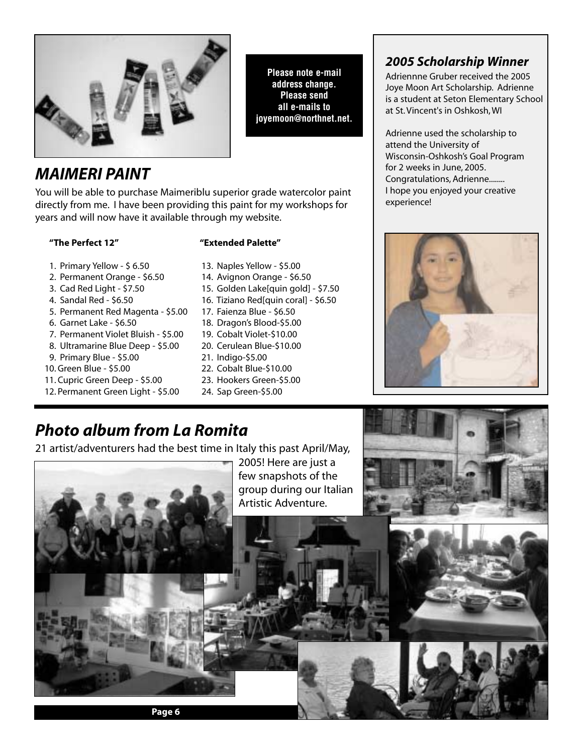

# *MAIMERI PAINT*

You will be able to purchase Maimeriblu superior grade watercolor paint directly from me. I have been providing this paint for my workshops for years and will now have it available through my website.

### **"The Perfect 12" "Extended Palette"**

- 1. Primary Yellow \$ 6.50 13. Naples Yellow \$5.00
- 2. Permanent Orange \$6.50 14. Avignon Orange \$6.50
- 3. Cad Red Light \$7.50 15. Golden Lake[quin gold] \$7.50
- 4. Sandal Red \$6.50 16. Tiziano Red[quin coral] \$6.50
- 5. Permanent Red Magenta \$5.00 17. Faienza Blue \$6.50
- 6. Garnet Lake \$6.50 18. Dragon's Blood-\$5.00
- 7. Permanent Violet Bluish \$5.00 19. Cobalt Violet-\$10.00
- 8. Ultramarine Blue Deep \$5.00 20. Cerulean Blue-\$10.00
- 9. Primary Blue \$5.00 21. Indigo-\$5.00
- 10. Green Blue \$5.00 22. Cobalt Blue-\$10.00
- 11. Cupric Green Deep \$5.00 23. Hookers Green-\$5.00
- 12. Permanent Green Light \$5.00 24. Sap Green-\$5.00
- 
- 
- 

**Please note e-mail address change. Please send all e-mails to joyemoon@northnet.net.**

- 
- 
- 
- 
- 
- 
- 
- 

# *2005 Scholarship Winner*

Adriennne Gruber received the 2005 Joye Moon Art Scholarship. Adrienne is a student at Seton Elementary School at St. Vincent's in Oshkosh, WI

Adrienne used the scholarship to attend the University of Wisconsin-Oshkosh's Goal Program for 2 weeks in June, 2005. Congratulations, Adrienne........ I hope you enjoyed your creative experience!



# *Photo album from La Romita*

21 artist/adventurers had the best time in Italy this past April/May,

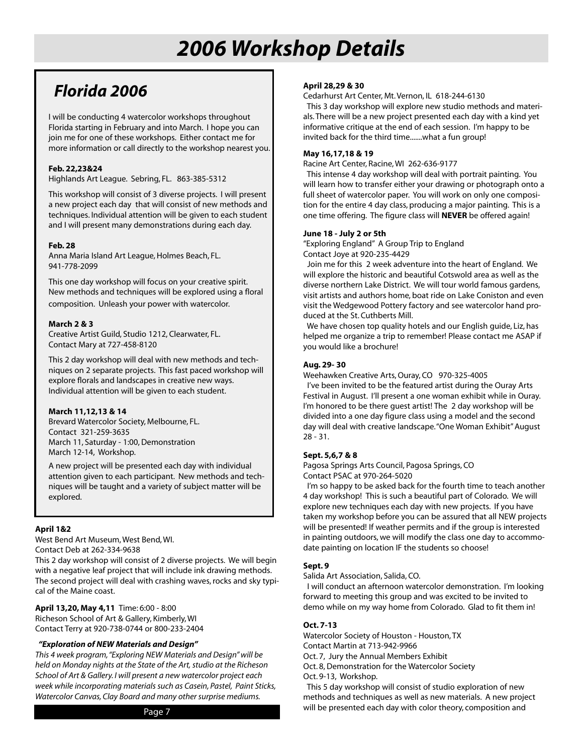# *2006 Workshop Details*

# *Florida 2006*

I will be conducting 4 watercolor workshops throughout Florida starting in February and into March. I hope you can join me for one of these workshops. Either contact me for more information or call directly to the workshop nearest you.

### **Feb. 22,23&24**

Highlands Art League. Sebring, FL. 863-385-5312

This workshop will consist of 3 diverse projects. I will present a new project each day that will consist of new methods and techniques. Individual attention will be given to each student and I will present many demonstrations during each day.

### **Feb. 28**

Anna Maria Island Art League, Holmes Beach, FL. 941-778-2099

This one day workshop will focus on your creative spirit. New methods and techniques will be explored using a floral composition. Unleash your power with watercolor.

#### **March 2 & 3**

Creative Artist Guild, Studio 1212, Clearwater, FL. Contact Mary at 727-458-8120

This 2 day workshop will deal with new methods and techniques on 2 separate projects. This fast paced workshop will explore florals and landscapes in creative new ways. Individual attention will be given to each student.

#### **March 11,12,13 & 14**

Brevard Watercolor Society, Melbourne, FL. Contact 321-259-3635 March 11, Saturday - 1:00, Demonstration March 12-14, Workshop.

A new project will be presented each day with individual attention given to each participant. New methods and techniques will be taught and a variety of subject matter will be explored.

### **April 1&2**

West Bend Art Museum, West Bend, WI. Contact Deb at 262-334-9638

This 2 day workshop will consist of 2 diverse projects. We will begin with a negative leaf project that will include ink drawing methods. The second project will deal with crashing waves, rocks and sky typical of the Maine coast.

**April 13,20, May 4,11** Time: 6:00 - 8:00 Richeson School of Art & Gallery, Kimberly, WI Contact Terry at 920-738-0744 or 800-233-2404

#### *"Exploration of NEW Materials and Design"*

*This 4 week program,"Exploring NEW Materials and Design" will be held on Monday nights at the State of the Art' studio at the Richeson School of Art & Gallery. I will present a new watercolor project each week while incorporating materials such as Casein, Pastel, Paint Sticks, Watercolor Canvas, Clay Board and many other surprise mediums.*

Cedarhurst Art Center, Mt. Vernon, IL 618-244-6130 This 3 day workshop will explore new studio methods and materials. There will be a new project presented each day with a kind yet informative critique at the end of each session. I'm happy to be invited back for the third time.......what a fun group!

#### **May 16,17,18 & 19**

Racine Art Center, Racine, WI 262-636-9177

This intense 4 day workshop will deal with portrait painting. You will learn how to transfer either your drawing or photograph onto a full sheet of watercolor paper. You will work on only one composition for the entire 4 day class, producing a major painting. This is a one time offering. The figure class will **NEVER** be offered again!

#### **June 18 - July 2 or 5th**

"Exploring England" A Group Trip to England Contact Joye at 920-235-4429

Join me for this 2 week adventure into the heart of England. We will explore the historic and beautiful Cotswold area as well as the diverse northern Lake District. We will tour world famous gardens, visit artists and authors home, boat ride on Lake Coniston and even visit the Wedgewood Pottery factory and see watercolor hand produced at the St. Cuthberts Mill.

We have chosen top quality hotels and our English guide, Liz, has helped me organize a trip to remember! Please contact me ASAP if you would like a brochure!

#### **Aug. 29- 30**

Weehawken Creative Arts, Ouray, CO 970-325-4005

I've been invited to be the featured artist during the Ouray Arts Festival in August. I'll present a one woman exhibit while in Ouray. I'm honored to be there guest artist! The 2 day workshop will be divided into a one day figure class using a model and the second day will deal with creative landscape."One Woman Exhibit" August 28 - 31.

### **Sept. 5,6,7 & 8**

Pagosa Springs Arts Council, Pagosa Springs, CO Contact PSAC at 970-264-5020

I'm so happy to be asked back for the fourth time to teach another 4 day workshop! This is such a beautiful part of Colorado. We will explore new techniques each day with new projects. If you have taken my workshop before you can be assured that all NEW projects will be presented! If weather permits and if the group is interested in painting outdoors, we will modify the class one day to accommodate painting on location IF the students so choose!

#### **Sept. 9**

Salida Art Association, Salida, CO.

I will conduct an afternoon watercolor demonstration. I'm looking forward to meeting this group and was excited to be invited to demo while on my way home from Colorado. Glad to fit them in!

### **Oct. 7-13**

Watercolor Society of Houston - Houston, TX Contact Martin at 713-942-9966

Oct. 7, Jury the Annual Members Exhibit

Oct. 8, Demonstration for the Watercolor Society

Oct. 9-13, Workshop.

This 5 day workshop will consist of studio exploration of new methods and techniques as well as new materials. A new project will be presented each day with color theory, composition and